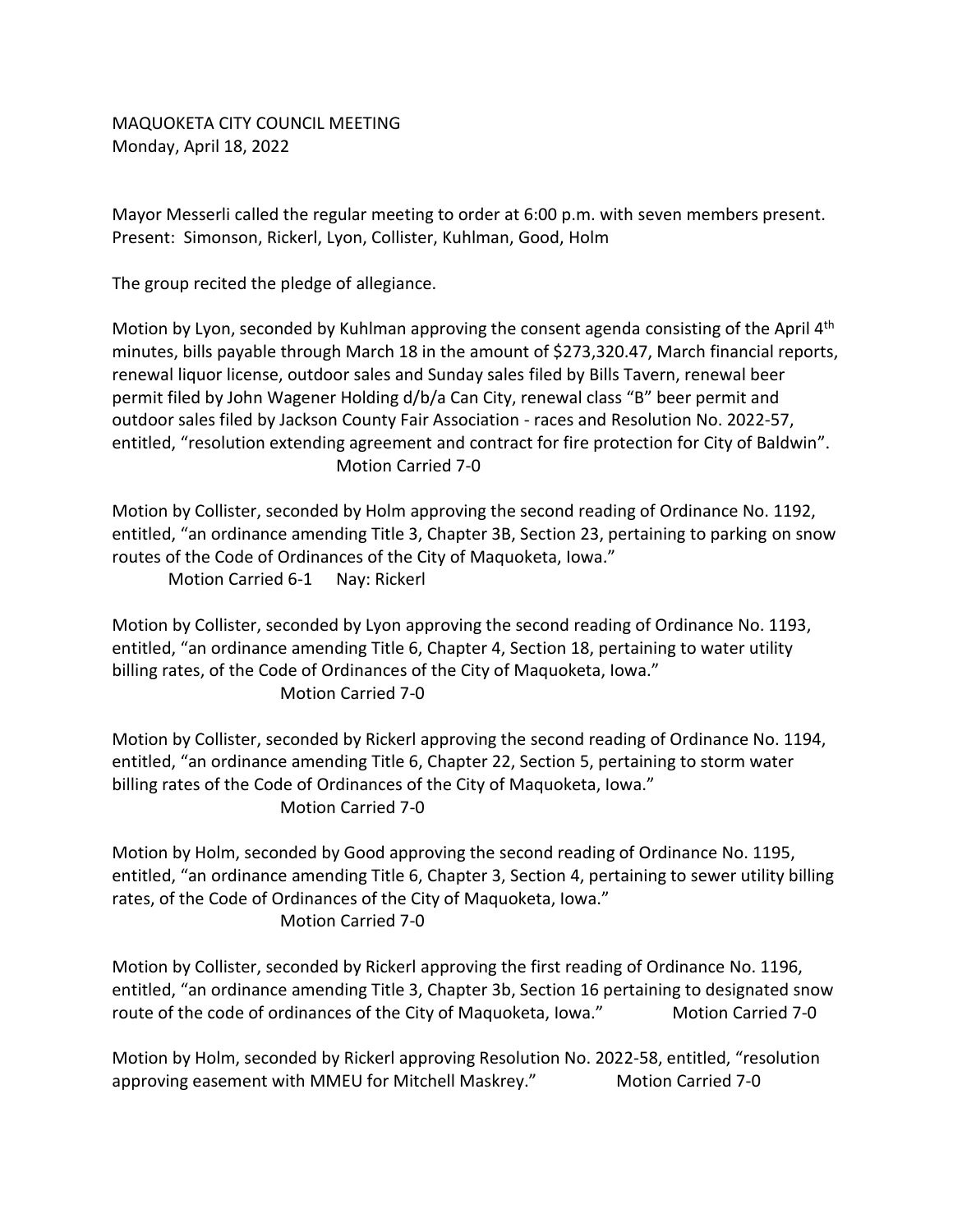MAQUOKETA CITY COUNCIL MEETING Monday, April 18, 2022

Mayor Messerli called the regular meeting to order at 6:00 p.m. with seven members present. Present: Simonson, Rickerl, Lyon, Collister, Kuhlman, Good, Holm

The group recited the pledge of allegiance.

Motion by Lyon, seconded by Kuhlman approving the consent agenda consisting of the April 4<sup>th</sup> minutes, bills payable through March 18 in the amount of \$273,320.47, March financial reports, renewal liquor license, outdoor sales and Sunday sales filed by Bills Tavern, renewal beer permit filed by John Wagener Holding d/b/a Can City, renewal class "B" beer permit and outdoor sales filed by Jackson County Fair Association - races and Resolution No. 2022-57, entitled, "resolution extending agreement and contract for fire protection for City of Baldwin". Motion Carried 7-0

Motion by Collister, seconded by Holm approving the second reading of Ordinance No. 1192, entitled, "an ordinance amending Title 3, Chapter 3B, Section 23, pertaining to parking on snow routes of the Code of Ordinances of the City of Maquoketa, Iowa." Motion Carried 6-1 Nay: Rickerl

Motion by Collister, seconded by Lyon approving the second reading of Ordinance No. 1193, entitled, "an ordinance amending Title 6, Chapter 4, Section 18, pertaining to water utility billing rates, of the Code of Ordinances of the City of Maquoketa, Iowa." Motion Carried 7-0

Motion by Collister, seconded by Rickerl approving the second reading of Ordinance No. 1194, entitled, "an ordinance amending Title 6, Chapter 22, Section 5, pertaining to storm water billing rates of the Code of Ordinances of the City of Maquoketa, Iowa." Motion Carried 7-0

Motion by Holm, seconded by Good approving the second reading of Ordinance No. 1195, entitled, "an ordinance amending Title 6, Chapter 3, Section 4, pertaining to sewer utility billing rates, of the Code of Ordinances of the City of Maquoketa, Iowa." Motion Carried 7-0

Motion by Collister, seconded by Rickerl approving the first reading of Ordinance No. 1196, entitled, "an ordinance amending Title 3, Chapter 3b, Section 16 pertaining to designated snow route of the code of ordinances of the City of Maquoketa, Iowa." Motion Carried 7-0

Motion by Holm, seconded by Rickerl approving Resolution No. 2022-58, entitled, "resolution approving easement with MMEU for Mitchell Maskrey." Motion Carried 7-0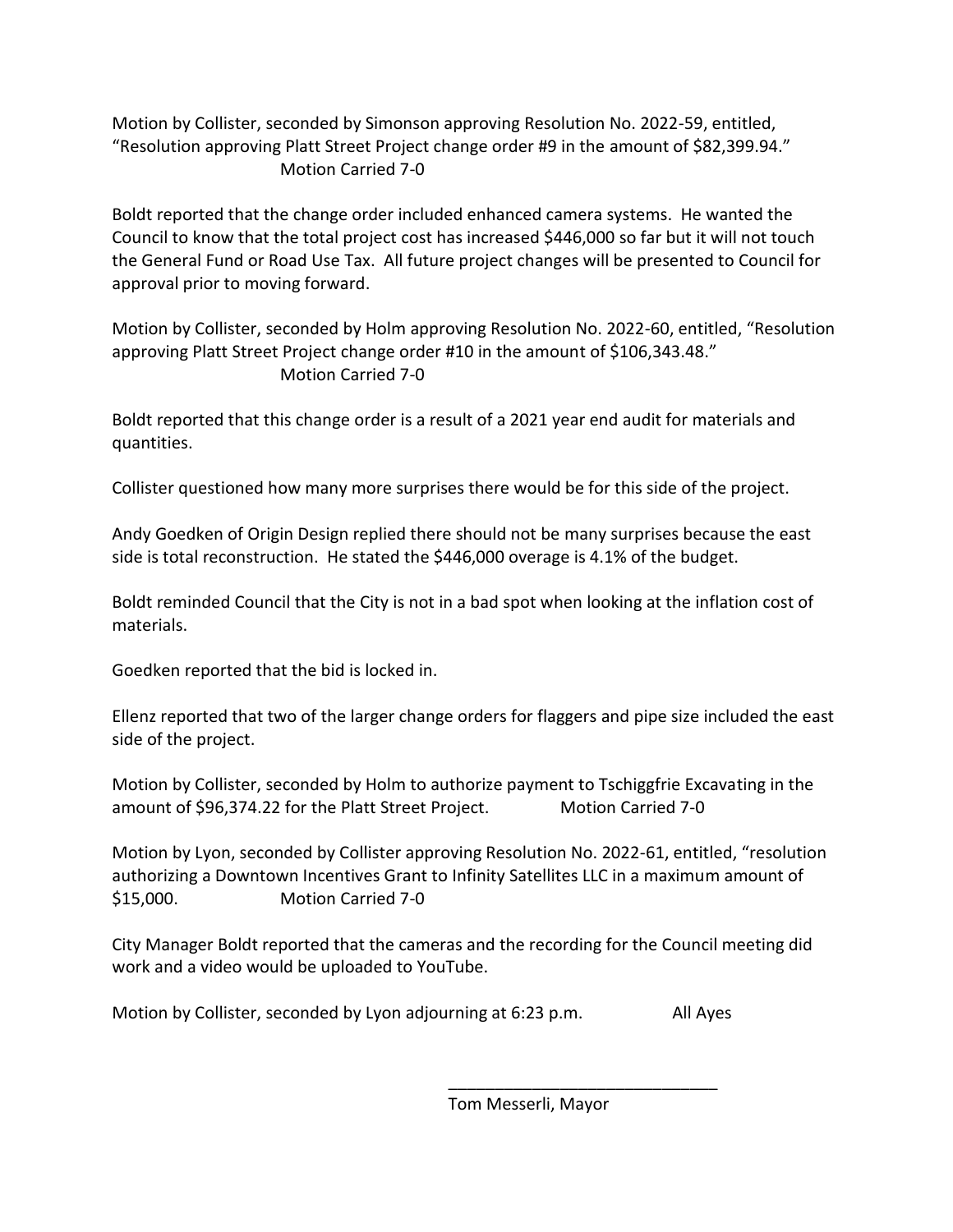Motion by Collister, seconded by Simonson approving Resolution No. 2022-59, entitled, "Resolution approving Platt Street Project change order #9 in the amount of \$82,399.94." Motion Carried 7-0

Boldt reported that the change order included enhanced camera systems. He wanted the Council to know that the total project cost has increased \$446,000 so far but it will not touch the General Fund or Road Use Tax. All future project changes will be presented to Council for approval prior to moving forward.

Motion by Collister, seconded by Holm approving Resolution No. 2022-60, entitled, "Resolution approving Platt Street Project change order #10 in the amount of \$106,343.48." Motion Carried 7-0

Boldt reported that this change order is a result of a 2021 year end audit for materials and quantities.

Collister questioned how many more surprises there would be for this side of the project.

Andy Goedken of Origin Design replied there should not be many surprises because the east side is total reconstruction. He stated the \$446,000 overage is 4.1% of the budget.

Boldt reminded Council that the City is not in a bad spot when looking at the inflation cost of materials.

Goedken reported that the bid is locked in.

Ellenz reported that two of the larger change orders for flaggers and pipe size included the east side of the project.

Motion by Collister, seconded by Holm to authorize payment to Tschiggfrie Excavating in the amount of \$96,374.22 for the Platt Street Project. Motion Carried 7-0

Motion by Lyon, seconded by Collister approving Resolution No. 2022-61, entitled, "resolution authorizing a Downtown Incentives Grant to Infinity Satellites LLC in a maximum amount of \$15,000. Motion Carried 7-0

City Manager Boldt reported that the cameras and the recording for the Council meeting did work and a video would be uploaded to YouTube.

Motion by Collister, seconded by Lyon adjourning at 6:23 p.m. All Ayes

Tom Messerli, Mayor

\_\_\_\_\_\_\_\_\_\_\_\_\_\_\_\_\_\_\_\_\_\_\_\_\_\_\_\_\_